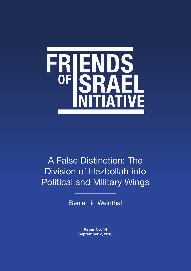

# A False Distinction: The Division of Hezbollah into Political and Military Wings

Benjamin Weinthal

**Paper No. 14 September 2, 2013**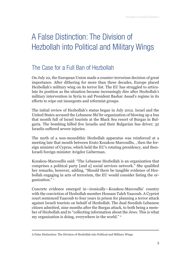## A False Distinction: The Division of Hezbollah into Political and Military Wings

### The Case for a Full Ban of Hezbollah

On July 22, the European Union made a counter-terrorism decision of great importance. After dithering for more than three decades, Europe placed Hezbollah's military wing on its terror list. The EU has struggled to articulate its position as the situation became increasingly dire after Hezbollah's military intervention in Syria to aid President Bashar Assad's regime in its efforts to wipe out insurgents and reformist groups.

The initial review of Hezbollah's status began in July 2012. Israel and the United States accused the Lebanese Shi'ite organization of blowing up a bus that month full of Israel tourists at the Black Sea resort of Burgas in Bulgaria. The bombing killed five Israelis and their Bulgarian bus driver; 32 Israelis suffered severe injuries.

The myth of a non-monolithic Hezbollah apparatus was reinforced at a meeting late that month between Erato Kozakou-Marcoullis, , then the foreign minister of Cyprus, which held the EU's rotating presidency, and then-Israeli foreign minister Avigdor Lieberman.

Kozakou-Marcoullis said: "The Lebanese Hezbollah is an organization that comprises a political party [and a] social services network." She qualified her remarks, however, adding, "Should there be tangible evidence of Hezbollah engaging in acts of terrorism, the EU would consider listing the organization."<sup>1</sup>

Concrete evidence emerged in—ironically—Kozakou-Marcoullis' country with the conviction of Hezbollah member Hossam Taleb Yaacoub. A Cypriot court sentenced Yaacoub to four years in prison for planning a terror attack against Israeli tourists on behalf of Hezbollah. The dual Swedish-Lebanese citizen admitted, nine months after the Burgas attack, to both being a member of Hezbollah and to "collecting information about the Jews. This is what my organization is doing, everywhere in the world."<sup>2</sup>

A False Distinction: The Division of Hezbollah into Political and Military Wings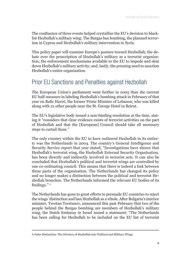The confluence of three events helped crystallize the EU's decision to blacklist Hezbollah's military wing: The Burgas bus bombing, the planned terrorism in Cyprus and Hezbollah's military intervention in Syria.

This policy paper will examine Europe's posture toward Hezbollah; the debate over the proscription of Hezbollah's military as a terrorist organization; the enforcement mechanisms available to the EU to impede and shut down Hezbollah's military activity; and, lastly, the pressing need to sanction Hezbollah's entire organization.

#### Prior EU Sanctions and Penalties against Hezbollah

The European Union's parliament went further in 2005 than the current EU half-measure in labeling Hezbollah's bombing attack in February of that year on Rafic Hariri, the former Prime Minister of Lebanon, who was killed along with 21 other people near the St. George Hotel in Beirut.

The EU's legislative body issued a non-binding resolution at the time, stating it "considers that clear evidence exists of terrorist activities on the part of Hezbollah and that the [European] Council should take all necessary steps to curtail them."

The only country within the EU to have outlawed Hezbollah in its entirety was the Netherlands in 2004. The country's General Intelligence and Security Service report that year stated, "Investigations have shown that Hezbollah's terrorist wing, the Hezbollah External Security Organisation, has been directly and indirectly involved in terrorist acts. It can also be concluded that Hezbollah's political and terrorist wings are controlled by one co-ordinating council. This means that there is indeed a link between these parts of the organisation. The Netherlands has changed its policy and no longer makes a distinction between the political and terrorist Hezbollah branches. The Netherlands informed the relevant EU bodies of its findings." 3

The Netherlands has gone to great efforts to persuade EU countries to reject the wings' distinction and ban Hezbollah as a whole. After Bulgaria's interior minister, Tsvetan Tsvetanov, announced this past February that two of the people behind the Burgas bombing are members of Hezbollah's military wing, the Dutch Embassy in Israel issued a statement: "The Netherlands has been calling for Hezbollah to be included on the EU list of terrorist

A False Distinction: The Division of Hezbollah into Political and Military Wings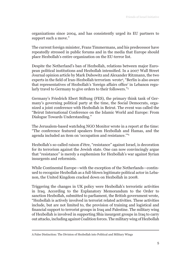organizations since 2004, and has consistently urged its EU partners to support such a move."

The current foreign minister, Frans Timmermans, and his predecessor have repeatedly stressed in public forums and in the media that Europe should place Hezbollah's entire organization on the EU-terror list.

Despite the Netherland's ban of Hezbollah, relations between major European political institutions and Hezbollah intensified. In a 2007 Wall Street Journal opinion article by Mark Dubowitz and Alexander Ritzmann, the two experts in the field of Iran-Hezbollah terrorism wrote<sup>4</sup> , "Berlin is also aware that representatives of Hezbollah's 'foreign affairs office' in Lebanon regularly travel to Germany to give orders to their followers."5

Germany's Friedrich Ebert Stiftung (FES), the primary think tank of Germany's governing political party at the time, the Social Democrats, organized a joint conference with Hezbollah in Beirut. The event was called the "Beirut International Conference on the Islamic World and Europe: From Dialogue Towards Understanding."

The Jerusalem-based watchdog NGO Monitor wrote in a report at the time: "The conference featured speakers from Hezbollah and Hamas, and the agenda included an item on 'occupation and resistance.'"6

Hezbollah's so-called raison d'être, "resistance" against Israel, is decoration for its terrorism against the Jewish state. One can now convincingly argue that "resistance" is merely a euphemism for Hezbollah's war against Syrian insurgents and reformists.

While Continental Europe—with the exception of the Netherlands—continued to recognize Hezbollah as a full-blown legitimate political actor in Lebanon, the United Kingdom cracked down on Hezbollah in 2008.

Triggering the changes in UK policy were Hezbollah's terroristic activities in Iraq. According to the Explanatory Memorandum to the Order to sanction Hezbollah, submitted to parliament, the British government wrote, "Hezbollah is actively involved in terrorist related activities. These activities include, but are not limited to, the provision of training and logistical and financial support to terrorist groups in Iraq and Palestine. The military wing of Hezbollah is involved in supporting Shia insurgent groups in Iraq to carry out attacks, including against Coalition forces. The military wing of Hezbollah

A False Distinction: The Division of Hezbollah into Political and Military Wings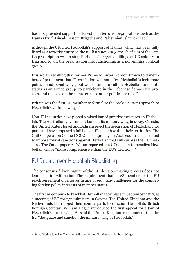has also provided support for Palestinian terrorist organisations such as the Hamas Izz al-Din al-Qassem Brigades and Palestinian Islamic Jihad." <sup>7</sup>

Although the UK cited Hezbollah's support of Hamas, which has been fully listed as a terrorist entity on the EU list since 2003, the chief aim of the British proscription was to stop Hezbollah's targeted killings of UK soldiers in Iraq and to jolt the organization into functioning as a non-militia political group.

It is worth recalling that former Prime Minister Gordon Brown told members of parliament that "Proscription will not affect Hezbollah's legitimate political and social wings, but we continue to call on Hezbollah to end its status as an armed group, to participate in the Lebanese democratic process, and to do so on the same terms as other political parties."

Britain was the first EU member to formalize the cookie-cutter approach to Hezbollah's various "wings."

Non-EU countries have placed a mixed bag of punitive measures on Hezbollah. The Australian government banned its military wing in 2003. Canada, the United States, Israel and Bahrain reject the separation of Hezbollah into parts and have imposed a full ban on Hezbollah within their territories. The Gulf Cooperation Council (GCC) – comprising six Arab countries – is slated to impose robust sanctions against Hezbollah that will surpass the EU measure. The Saudi paper Al-Watan reported the GCC's plan to penalize Hezbollah will be "more comprehensive than the EU's decision." 8

### EU Debate over Hezbollah Blacklisting

The consensus-driven nature of the EU decision-making process does not lend itself to swift action. The requirement that all 28 members of the EU reach agreement on a terror listing posed many challenges for the competing foreign policy interests of member states.

The first major push to blacklist Hezbollah took place in September 2012, at a meeting of EU foreign ministers in Cyprus. The United Kingdom and the Netherlands both urged their counterparts to sanction Hezbollah. British Foreign Secretary William Hague introduced the first appeal for a ban of Hezbollah's armed wing. He said the United Kingdom recommends that the EU "designate and sanction the military wing of Hezbollah."

A False Distinction: The Division of Hezbollah into Political and Military Wings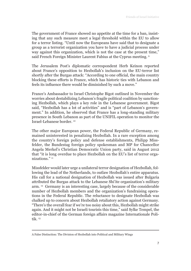The government of France showed no appetite at the time for a ban, insisting that any such measure meet a legal threshold within the EU to allow for a terror listing. "Until now the Europeans have said that to designate a group as a terrorist organization you have to have a judicial process under way against this organization, which is not the case at the present time," said French Foreign Minister Laurent Fabius at the Cyprus meeting. 9

The Jerusalem Post's diplomatic correspondent Herb Keinon reported about France's opposition to Hezbollah's inclusion on the EU-terror list shortly after the Burgas attack: "According to one official, the main country blocking these efforts is France, which has historic ties with Lebanon and feels its influence there would be diminished by such a move."

France's Ambassador to Israel Christophe Bigot outlined in November the worries about destabilizing Lebanon's fragile political coalition by sanctioning Hezbollah, which plays a key role in the Lebanese government. Bigot said, "Hezbollah has a lot of activities" and is "part of Lebanon's government." In addition, he observed that France has a long-standing military presence in South Lebanon as part of the UNIFIL operation to monitor the Israel-Lebanese border. 10

The other major European power, the Federal Republic of Germany, remained uninterested in penalizing Hezbollah. In a rare exception among the country's foreign policy and defense establishments, Philipp Missfelder, the Bundestag foreign policy spokesman and MP for Chancellor Angela Merkel's Christian Democratic Union party, said in August 2012 that "it is long overdue to place Hezbollah on the EU's list of terror organizations." 11

Missfelder would later urge a unilateral terror designation of Hezbollah, following the lead of the Netherlands, to outlaw Hezbollah's entire apparatus. His call for a national designation of Hezbollah was issued after Bulgaria attributed the Burgas attack to the Lebanese Shi'ite organization's military arm. 12 Germany is an interesting case, largely because of the considerable number of Hezbollah members and the organization's fundraising operations in the Federal Republic. The reluctance to designate Hezbollah was chalked up to concern about Hezbollah retaliatory action against Germany. "There's the overall fear if we're too noisy about this, Hezbollah might strike again. And it might not be Israeli tourists this time," said Sylke Tempel, the editor-in-chief of the German foreign affairs magazine Internationale Politik. 13

A False Distinction: The Division of Hezbollah into Political and Military Wings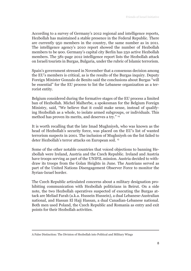According to a survey of Germany's 2012 regional and intelligence reports, Hezbollah has maintained a stable presence in the Federal Republic. There are currently 950 members in the country, the same number as in 2011. The intelligence agency's 2010 report showed the number of Hezbollah members to be 900. Germany's capital city Berlin has 250 active Hezbollah members. The 381-page 2012 intelligence report lists the Hezbollah attack on Israeli tourists in Burgas, Bulgaria, under the rubric of Islamic terrorism.

Spain's government stressed in November that a consensus decision among the EU's members is critical, as is the results of the Burgas inquiry. Deputy Foreign Minister Gonzalo de Benito said the conclusions about Burgas "will be essential" for the EU process to list the Lebanese organization as a terrorist entity.

Belgium considered during the formative stages of the EU process a limited ban of Hezbollah. Michel Malherbe, a spokesman for the Belgium Foreign Ministry, said, "We believe that it could make sense, instead of qualifying Hezbollah as a whole, to isolate armed subgroups, or individuals. This method has proven its merits, and deserves a try." 14

It is worth recalling that the late Imad Mughniyeh, who was known as the head of Hezbollah's security force, was placed on the EU's list of wanted terrorism suspects in 2001. The inclusion of Mughniyeh on the list failed to deter Hezbollah's terror attacks on European soil. 15

Some of the other notable countries that voiced objections to banning Hezbollah were Ireland, Austria and the Czech Republic. Ireland and Austria have troops serving as part of the UNIFIL mission. Austria decided to withdraw its troops from the Golan Heights in June. The Austrians served as part of the United Nations Disengagement Observer Force to monitor the Syrian-Israel border.

The Czech Republic articulated concerns about a military designation prohibiting communication with Hezbollah politicians in Beirut. On a side note, the two Hezbollah operatives suspected of executing the Burgas attack are Meliad Farah (a.k.a. Hussein Hussein), a dual Lebanese-Australian national, and Hassan El Hajj Hassan, a dual Canadian-Lebanese national. Both men used Poland, the Czech Republic and Romania as entry and exit points for their Hezbollah activities.

A False Distinction: The Division of Hezbollah into Political and Military Wings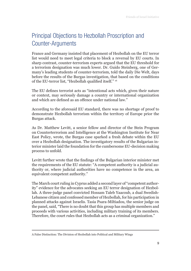## Principal Objections to Hezbollah Proscription and Counter-Arguments

France and Germany insisted that placement of Hezbollah on the EU terror list would need to meet legal criteria to block a reversal by EU courts. In sharp contrast, counter-terrorism experts argued that the EU threshold for a terrorism designation was much lower. Dr. Guido Steinberg, one of Germany's leading students of counter-terrorism, told the daily Die Welt, days before the results of the Burgas investigation, that based on the conditions of the EU-terror list, "Hezbollah qualified itself." <sup>16</sup>

The EU defines terrorist acts as "intentional acts which, given their nature or context, may seriously damage a country or international organization and which are defined as an offence under national law."

According to the aforesaid EU standard, there was no shortage of proof to demonstrate Hezbollah terrorism within the territory of Europe prior the Burgas attack.

As Dr. Matthew Levitt, a senior fellow and director of the Stein Program on Counterterrorism and Intelligence at the Washington Institute for Near East Policy, wrote, the Burgas case sparked a fresh debate within the EU over a Hezbollah designation. The investigatory results of the Bulgarian interior minister laid the foundation for the cumbersome EU-decision making process to unfold.

Levitt further wrote that the findings of the Bulgarian interior minister met the requirements of the EU statute: "A competent authority is a judicial authority or, where judicial authorities have no competence in the area, an equivalent competent authority."

The March court ruling in Cyprus added a second layer of "competent authority" evidence for the advocates seeking an EU terror designation of Hezbollah. A three-judge panel convicted Hossam Taleb Yaacoub, a dual Swedish-Lebanese citizen and confessed member of Hezbollah, for his participation in planned attacks against Israelis. Tasia Psara-Miltiadou, the senior judge on the panel, said, "There is no doubt that this group has multiple members and proceeds with various activities, including military training of its members. Therefore, the court rules that Hezbollah acts as a criminal organization."

A False Distinction: The Division of Hezbollah into Political and Military Wings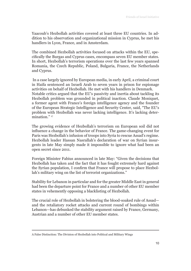Yaacoub's Hezbollah activities covered at least three EU countries. In addition to his observation and organizational mission in Cyprus, he met his handlers in Lyon, France, and in Amsterdam.

The combined Hezbollah activities focused on attacks within the EU, specifically the Burgas and Cyprus cases, encompass seven EU member states. In short, Hezbollah's terrorism operations over the last few years spanned Romania, the Czech Republic, Poland, Bulgaria, France, the Netherlands and Cyprus.

 In a case largely ignored by European media, in early April, a criminal court in Haifa sentenced an Israeli Arab to seven years in prison for espionage activities on behalf of Hezbollah. He met with his handlers in Denmark. Notable critics argued that the EU's passivity and inertia about tackling its Hezbollah problem was grounded in political inaction. Claude Moniquet, a former agent with France's foreign intelligence agency and the founder of the European Strategic Intelligence and Security Center, said, "The EU's problem with Hezbollah was never lacking intelligence. It's lacking deter $mination."$ <sup>17</sup>

The growing evidence of Hezbollah's terrorism on European soil did not influence a change in the behavior of France. The game-changing event for Paris was Hezbollah's infusion of troops into Syria to rescue Assad's regime. Hezbollah leader Hassan Nasrallah's declaration of war on Syrian insurgents in late May simply made it impossible to ignore what had been an open secret since 2011.

Foreign Minister Fabius announced in late May: "Given the decisions that Hezbollah has taken and the fact that it has fought extremely hard against the Syrian population, I confirm that France will propose to place Hezbollah's military wing on the list of terrorist organizations."

Stability for Lebanon in particular and for the greater Middle East in general had been the departure point for France and a number of other EU member states in vehemently opposing a blacklisting of Hezbollah.

The crucial role of Hezbollah in bolstering the blood-soaked rule of Assad and the retaliatory rocket attacks and current round of bombings within Lebanon—has debunked the stability argument raised by France, Germany, Austrian and a number of other EU member states.

A False Distinction: The Division of Hezbollah into Political and Military Wings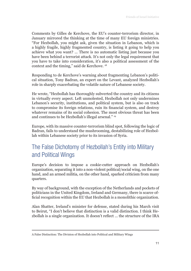Comments by Gilles de Kerchove, the EU's counter-terrorism director, in January mirrored the thinking at the time of many EU foreign ministries. "For Hezbollah, you might ask, given the situation in Lebanon, which is a highly fragile, highly fragmented country, is listing it going to help you achieve what you want? ... There is no automatic listing just because you have been behind a terrorist attack. It's not only the legal requirement that you have to take into consideration, it's also a political assessment of the context and the timing," said de Kerchove. 18

Responding to de Kerchove's warning about fragmenting Lebanon's political situation, Tony Badran, an expert on the Levant, analyzed Hezbollah's role in sharply exacerbating the volatile nature of Lebanese society.

He wrote, "Hezbollah has thoroughly subverted the country and its citizens in virtually every aspect. Left unmolested, Hezbollah not only undermines Lebanon's security, institutions, and political system, but is also on track to compromise its foreign relations, ruin its financial system, and destroy whatever remains of its social cohesion. The most obvious threat has been and continues to be Hezbollah's illegal arsenal." 19

Europe, with its massive counter-terrorism blind spot, following the logic of Badran, fails to understand the mushrooming, destabilizing role of Hezbollah within Lebanese society prior to its invasion of Syria.

## The False Dichotomy of Hezbollah's Entity into Military and Political Wings

Europe's decision to impose a cookie-cutter approach on Hezbollah's organization, separating it into a non-violent political/social wing, on the one hand, and an armed militia, on the other hand, sparked criticism from many quarters.

By way of background, with the exception of the Netherlands and pockets of politicians in the United Kingdom, Ireland and Germany, there is scarce official recognition within the EU that Hezbollah is a monolithic organization.

Alan Shatter, Ireland's minister for defense, stated during his March visit to Beirut, "I don't believe that distinction is a valid distinction. I think Hezbollah is a single organization. It doesn't reflect ... the structure of the IRA

A False Distinction: The Division of Hezbollah into Political and Military Wings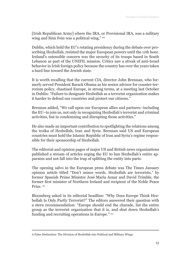[Irish Republican Army] where the IRA, or Provisional IRA, was a military wing and Sinn Fein was a political wing." 20

Dublin, which held the EU's rotating presidency during the debate over proscribing Hezbollah, resisted the major European powers until the 11th hour. Ireland's ostensible concern was the security of its troops based in South Lebanon as part of the UNIFIL mission. Critics saw a streak of anti-Israel behavior in Irish foreign policy because the country has over the years taken a hard line toward the Jewish state.

It is worth recalling that the current CIA, director John Brennan, who formerly served President Barack Obama as his senior advisor for counter-terrorism policy, chastised Europe, in strong terms, at a meeting last October in Dublin: "Failure to designate Hezbollah as a terrorist organization makes it harder to defend our countries and protect our citizens."

Brennan added, "We call upon our European allies and partners–including the EU–to join us, not only in recognizing Hezbollah's terrorist and criminal activities, but in condemning and disrupting those activities."

He also made an important contribution to spotlighting the relations among the troika of Hezbollah, Iran and Syria. Brennan said US and European countries must hold the Islamic Republic of Iran and Syria's regime responsible for their sponsorship of Hezbollah.

The editorial and opinion pages of major US and British news organizations published a stream of articles urging the EU to ban Hezbollah's entire apparatus and not fall into the trap of splitting the entity into parts.

The opening salvo in the European press debate was The Times January opinion article titled "Don't mince words. Hezbollah are terrorists," by former Spanish Prime Minister José María Aznar and David Trimble, the former first minister of Northern Ireland and recipient of the Noble Peace Prize. 22

Bloomberg asked in its editorial headline: "Why Does Europe Think Hezbollah Is Only Partly Terrorist?" The editors answered their question with a stern recommendation: "Europe should end the charade, list the entire group as the terrorist organization that it is, and shut down Hezbollah's funding and recruiting operations in Europe."<sup>23</sup>

A False Distinction: The Division of Hezbollah into Political and Military Wings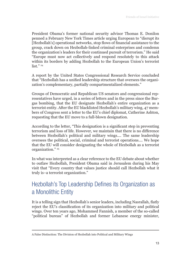President Obama's former national security advisor Thomas E. Donilon penned a February New York Times article urging European to "disrupt its [Hezbollah's] operational networks, stop flows of financial assistance to the group, crack down on Hezbollah-linked criminal enterprises and condemn the organization's leaders for their continued pursuit of terrorism." He said "Europe must now act collectively and respond resolutely to this attack within its borders by adding Hezbollah to the European Union's terrorist list." $24$ 

A report by the United States Congressional Research Service concluded that "Hezbollah has a unified leadership structure that oversees the organization's complementary, partially compartmentalized elements."

Groups of Democratic and Republican US senators and congressional representatives have urged, in a series of letters and in the press since the Burgas bombing, that the EU designate Hezbollah's entire organization as a terrorist entity. After the EU blacklisted Hezbollah's military wing, 47 members of Congress sent a letter to the EU's chief diplomat, Catherine Ashton, requesting that the EU move to a full-blown designation.

According to the letter, "This designation is a significant step in preventing terrorism and loss of life. However, we maintain that there is no difference between Hezbollah's political and military wings.... The same leadership oversees the political, social, criminal and terrorist operations.... We hope that the EU will consider designating the whole of Hezbollah as a terrorist organization." 25

In what was interpreted as a clear reference to the EU debate about whether to outlaw Hezbollah, President Obama said in Jerusalem during his May visit that "Every country that values justice should call Hezbollah what it truly is–a terrorist organization."

## Hezbollah's Top Leadership Defines its Organization as a Monolithic Entity

It is a telling sign that Hezbollah's senior leaders, including Nasrallah, flatly reject the EU's classification of its organization into military and political wings. Over ten years ago, Mohammed Fannish, a member of the so-called "political bureau" of Hezbollah and former Lebanese energy minister,

A False Distinction: The Division of Hezbollah into Political and Military Wings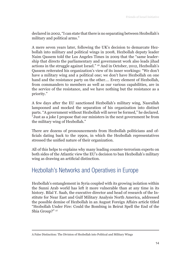declared in 2002, "I can state that there is no separating between Hezbollah's military and political arms."

A mere seven years later, following the UK's decision to demarcate Hezbollah into military and political wings in 2008, Hezbollah deputy leader Naim Qassem told the Los Angeles Times in 2009 that the "same leadership that directs the parliamentary and government work also leads jihad actions in the struggle against Israel." 26 And in October, 2012, Hezbollah's Qassem reiterated his organization's view of its inner workings: "We don't have a military wing and a political one; we don't have Hezbollah on one hand and the resistance party on the other.… Every element of Hezbollah, from commanders to members as well as our various capabilities, are in the service of the resistance, and we have nothing but the resistance as a priority."

A few days after the EU sanctioned Hezbollah's military wing, Nasrallah lampooned and mocked the separation of his organization into distinct parts. "A government without Hezbollah will never be formed," he declared. "Just as a joke I propose that our ministers in the next government be from the military wing of Hezbollah."

There are dozens of pronouncements from Hezbollah politicians and officials dating back to the 1990s, in which the Hezbollah representatives stressed the unified nature of their organization.

All of this helps to explains why many leading counter-terrorism experts on both sides of the Atlantic view the EU's decision to ban Hezbollah's military wing as drawing an artificial distinction.

#### Hezbollah's Networks and Operatives in Europe

Hezbollah's entanglement in Syria coupled with its growing isolation within the Sunni Arab world has left it more vulnerable than at any time in its history. Bilal Y. Saab, the executive director and head of research of the Institute for Near East and Gulf Military Analysis North America, addressed the possible demise of Hezbollah in an August Foreign Affairs article titled "Hezbollah Under Fire: Could the Bombing in Beirut Spell the End of the Shia Group?" 27

A False Distinction: The Division of Hezbollah into Political and Military Wings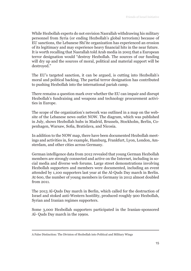While Hezbollah experts do not envision Nasrallah withdrawing his military personnel from Syria (or ending Hezbollah's global terrorism) because of EU sanctions, the Lebanese Shi'ite organization has experienced an erosion of its legitimacy and may experience heavy financial hits in the near future. It is worth recalling that Nasrallah told Arab media in 2005 that a European terror designation would "destroy Hezbollah. The sources of our funding will dry up and the sources of moral, political and material support will be destroyed."

The EU's targeted sanction, it can be argued, is cutting into Hezbollah's moral and political backing. The partial terror designation has contributed to pushing Hezbollah into the international pariah camp.

There remains a question mark over whether the EU can impair and disrupt Hezbollah's fundraising and weapons and technology procurement activities in Europe.

The scope of the organization's network was outlined in a map on the website of the Lebanese news outlet NOW. The diagram, which was published in July, shows Hezbollah hubs in Madrid, Brussels, Stockholm, Berlin, Copenhagen, Warsaw, Sofia, Bratislava, and Nicosia.

In addition to the NOW map, there have been documented Hezbollah meetings and activities in, for example, Hamburg, Frankfurt, Lyon, London, Amsterdam, and other cities across Germany.

German intelligence data from 2012 revealed that young German Hezbollah members are strongly connected and active on the Internet, including in social media and diverse web forums. Large street demonstrations involving Hezbollah supporters and members were documented, including an event attended by 1,100 supporters last year at the Al-Quds Day march in Berlin. At 600, the number of young members in Germany in 2012 almost doubled from 2011.

The 2013 Al-Quds Day march in Berlin, which called for the destruction of Israel and stoked anti-Western hostility, produced roughly 900 Hezbollah, Syrian and Iranian regimes supporters.

Some 3,000 Hezbollah supporters participated in the Iranian-sponsored Al- Quds Day march in the 1990s.

A False Distinction: The Division of Hezbollah into Political and Military Wings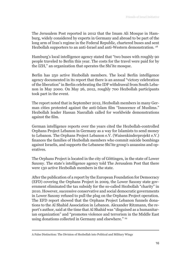The Jerusalem Post reported in 2012 that the Imam Ali Mosque in Hamburg, widely considered by experts in Germany and abroad to be part of the long arm of Iran's regime in the Federal Republic, chartered buses and sent Hezbollah supporters to an anti-Israel and anti-Western demonstration.<sup>28</sup>

Hamburg's local intelligence agency stated that "two buses with roughly 90 people traveled to Berlin this year. The costs for the travel were paid for by the IZH," an organization that operates the Shi'ite mosque.

Berlin has 250 active Hezbollah members. The local Berlin intelligence agency documented in its report that there is an annual "victory celebration of the liberation" in Berlin celebrating the IDF withdrawal from South Lebanon in May 2000. On May 26, 2012, roughly 700 Hezbollah participants took part in the event.

The report noted that in September 2012, Hezbollah members in many German cities protested against the anti-Islam film "Innocence of Muslims." Hezbollah leader Hassan Nasrallah called for worldwide demonstrations against the film.

German intelligence reports over the years cited the Hezbollah-controlled Orphans Project Lebanon in Germany as a way for Islamists to send money to Lebanon. The Orphans Project Lebanon e.V. (Waisenkinderprojekt e.V.) finances the families of Hezbollah members who commit suicide bombings against Israelis, and supports the Lebanese Shi'ite group's assassins and operatives.

The Orphans Project is located in the city of Göttingen, in the state of Lower Saxony. The state's intelligence agency told The Jerusalem Post that there were 130 active Hezbollah members in the state.

After the publication of a report by the European Foundation for Democracy (EFD) covering the Orphans Project in 2009, the Lower Saxony state government eliminated the tax subsidy for the so-called Hezbollah "charity" in 2010. However, successive conservative and social democratic governments in Lower Saxony refused to pull the plug on the Orphans Project operation. The EFD report showed that the Orphans Project Lebanon funnels donations to the Al Shahid Association in Lebanon. Alexander Ritzmann, the report's author, said at the time that Al Shahid was "disguised as a humanitarian organization" and "promotes violence and terrorism in the Middle East using donations collected in Germany and elsewhere." <sup>29</sup>

A False Distinction: The Division of Hezbollah into Political and Military Wings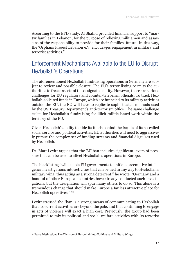According to the EFD study, Al Shahid provided financial support to "martyr families in Lebanon, for the purpose of relieving militiamen and assassins of the responsibility to provide for their families' future. In this way, the 'Orphans Project Lebanon e.V' encourages engagement in military and terrorist activities."

## Enforcement Mechanisms Available to the EU to Disrupt Hezbollah's Operations

The aforementioned Hezbollah fundraising operations in Germany are subject to review and possible closure. The EU's terror listing permits the authorities to freeze assets of the designated entity. However, there are serious challenges for EU regulators and counter-terrorism officials. To track Hezbollah-solicited funds in Europe, which are funneled to its military activities outside the EU, the EU will have to replicate sophisticated methods used by the US Treasury Department's anti-terrorism office. The same challenge exists for Hezbollah's fundraising for illicit militia-based work within the territory of the EU.

Given Hezbollah's ability to hide its funds behind the façade of its so-called social service and political activities, EU authorities will need to aggressively pursue the complex set of funding streams and financial disguises used by Hezbollah.

Dr. Matt Levitt argues that the EU ban includes significant levers of pressure that can be used to affect Hezbollah's operations in Europe.

The blacklisting "will enable EU governments to initiate preemptive intelligence investigations into activities that can be tied in any way to Hezbollah's military wing, thus acting as a strong deterrent," he wrote. "Germany and a handful of other European countries have already conducted such investigations, but the designation will spur many others to do so. This alone is a tremendous change that should make Europe a far less attractive place for Hezbollah operatives." <sup>30</sup>

Levitt stressed the "ban is a strong means of communicating to Hezbollah that its current activities are beyond the pale, and that continuing to engage in acts of violence will exact a high cost. Previously, the group had been permitted to mix its political and social welfare activities with its terrorist

A False Distinction: The Division of Hezbollah into Political and Military Wings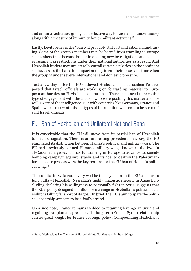and criminal activities, giving it an effective way to raise and launder money along with a measure of immunity for its militant activities."

Lastly, Levitt believes the "ban will probably still curtail Hezbollah fundraising. Some of the group's members may be barred from traveling to Europe as member states become bolder in opening new investigations and consider issuing visa restrictions under their national authorities as a result. And Hezbollah leaders may unilaterally curtail certain activities on the continent as they assess the ban's full impact and try to cut their losses at a time when the group is under severe international and domestic pressure."

Just a few days after the EU outlawed Hezbollah, The Jerusalem Post reported that Israeli officials are working on forwarding material to European authorities on Hezbollah's operations. "There is no need to have this type of engagement with the British, who were pushing this matter and are well aware of the intelligence. But with countries like Germany, France and Spain, who are new at this, all types of information will have to be shared," said Israeli officials.

#### Full Ban of Hezbollah and Unilateral National Bans

It is conceivable that the EU will move from its partial ban of Hezbollah to a full designation. There is an interesting precedent. In 2003, the EU eliminated its distinction between Hamas's political and military work. The EU had previously banned Hamas's military wing—known as the Izzedin al-Qassam Brigades. Hamas fundraising in Europe to advance its suicide bombing campaign against Israelis and its goal to destroy the Palestinian-Israeli peace process were the key reasons for the EU ban of Hamas's political wing. 32

The conflict in Syria could very well be the key factor in the EU calculus to fully outlaw Hezbollah. Nasrallah's highly jingoistic rhetoric in August, including declaring his willingness to personally fight in Syria, suggests that the EU's policy designed to influence a change in Hezbollah's political leadership is falling far short of its goal. In brief, the EU's aim to spare the political leadership appears to be a fool's errand.

On a side note, France remains wedded to retaining leverage in Syria and regaining its diplomatic presence. The long-term French-Syrian relationship carries great weight for France's foreign policy. Compounding Hezbollah's

A False Distinction: The Division of Hezbollah into Political and Military Wings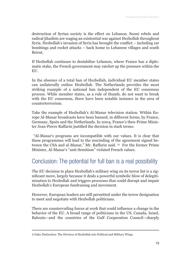destruction of Syrian society is the effect on Lebanon. Sunni rebels and radical jihadists are waging an existential war against Hezbollah throughout Syria. Hezbollah's invasion of Syria has brought the conflict – including car bombings and rocket attacks – back home to Lebanese villages and south Beirut.

If Hezbollah continues to destabilize Lebanon, where France has a diplomatic stake, the French government may ratchet up the pressure within the **EU** 

In the absence of a total ban of Hezbollah, individual EU member states can unilaterally outlaw Hezbollah. The Netherlands provides the most striking example of a national ban independent of the EU consensus process. While member states, as a rule of thumb, do not want to break with the EU consensus, there have been notable instance in the area of counterterrorism.

Take the example of Hezbollah's Al-Manar television station. Within Europe Al-Manar broadcasts have been banned, in different forms, by France, Germany, Spain and the Netherlands. In 2004, France's then-Prime Minister Jean-Pierre Raffarin justified the decision in stark terms:

 "Al-Manar's programs are incompatible with our values. It is clear that these programmes will lead to the rescinding of the agreement signed between the CSA and al-Manar," Mr. Raffarin said. <sup>33</sup> For the former Prime Minister, Al-Manar's "anti-Semitism" violated French values.

#### Conclusion: The potential for full ban is a real possibility

The EU decision to place Hezbollah's military wing on its terror list is a significant move, largely because it deals a powerful symbolic blow of delegitimization to Hezbollah and triggers processes that could disrupt and impair Hezbollah's European fundraising and movement.

However, European leaders are still permitted under the terror designation to meet and negotiate with Hezbollah politicians.

There are countervailing forces at work that could influence a change in the behavior of the EU. A broad range of politicians in the US, Canada, Israel, Bahrain—and the countries of the Gulf Cooperation Council—sharply

A False Distinction: The Division of Hezbollah into Political and Military Wings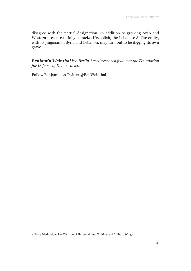disagree with the partial designation. In addition to growing Arab and Western pressure to fully ostracize Hezbollah, the Lebanese Shi'ite entity, with its jingoism in Syria and Lebanon, may turn out to be digging its own grave.

*Benjamin Weinthal is a Berlin-based research fellow at the Foundation for Defense of Democracies.*

Follow Benjamin on Twitter @BenWeinthal

A False Distinction: The Division of Hezbollah into Political and Military Wings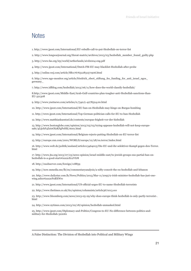#### **Notes**

1. http://www.jpost.com/International/EU-rebuffs-call-to-put-Hezbollah-on-terror-list

2. http://www.longwarjournal.org/threat-matrix/archives/2013/03/hezbollah\_member\_found\_guilty.php

3. http://www.fas.org/irp/world/netherlands/aivd2004-eng.pdf

4. http://www.jpost.com/International/Dutch-FM-EU-may-blacklist-Hezbollah-after-probe

5. http://online.wsj.com/article/SB117676512831571906.html

6. http://www.ngo-monitor.org/article/friedrich\_ebert\_stiftung\_fes\_funding\_for\_anti\_israel\_ngos\_ germany\_

7. http://www.idfblog.com/hezbollah/2013/06/11/how-does-the-world-classify-hezbollah/

8.http://www.jpost.com/Middle-East/Arab-Gulf-countries-plan-tougher-anti-Hezbollah-sanctions-than-EU-321308

9. http://www.ynetnews.com/articles/0,7340,L-4278524,00.html

10. http://www.jpost.com/International/EU-ban-on-Hezbollah-may-hinge-on-Burgas-bombing

11. http://www.jpost.com/International/Top-German-politician-calls-for-EU-to-ban-Hezbollah

12. http://www.matthiaskuentzel.de/contents/europas-feigheit-vor-der-hisbollah

13. http://www.bostonglobe.com/opinion/2013/03/03/trying-appease-hezbollah-will-not-keep-europesafe/4LijchF4Zei0Ol2KFgPeHK/story.html

14. http://www.jpost.com/International/Belgium-rejects-putting-Hezbollah-on-EU-terror-list

15. http://europe.cnn.com/2001/WORLD/europe/12/28/eu.terror/index.html

16. http://www.welt.de/politik/ausland/article113464013/Die-EU-und-ihr-selektiver-Kampf-gegen-den-Terror. html

17. http://www.jta.org/2013/07/23/news-opinion/israel-middle-east/to-jewish-groups-eus-partial-ban-onhezbollah-is-a-good-start#ixzz2cEc2VIJ8

18. http://euobserver.com/foreign/118859

19. http://now.mmedia.me/lb/en/commentaryanalysis/a-nifty-conceit-the-eu-hezbollah-and-lebanon

20. http://www.dailystar.com.lb/News/Politics/2013/Mar-11/209572-irish-minister-hezbollah-has-just-onewing.ashx#ixzz2cFnBXWrc

21. http://www.jpost.com/International/US-official-urges-EU-to-name-Hezbollah-terrorists

22. http://www.thetimes.co.uk/tto/opinion/columnists/article3671013.ece

23. http://www.bloomberg.com/news/2013-05-29/why-does-europe-think-hezbollah-is-only-partly-terrorist-. html

24. http://www.nytimes.com/2013/02/18/opinion/hezbollah-unmasked.html

25. http://www.jpost.com/Diplomacy-and-Politics/Congress-to-EU-No-difference-between-politics-andmilitary-for-Hezbollah-322061

A False Distinction: The Division of Hezbollah into Political and Military Wings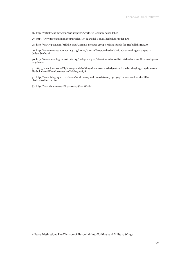26. http://articles.latimes.com/2009/apr/13/world/fg-lebanon-hezbollah13

27. http://www.foreignaffairs.com/articles/139825/bilal-y-saab/hezbollah-under-fire

28. http://www.jpost.com/Middle-East/German-mosque-groups-raising-funds-for-Hezbollah-317500

29. http://www.europeandemocracy.org/home/latest-efd-report-hezbollah-fundraising-in-germany-taxdeductible.html

30. http://www.washingtoninstitute.org/policy-analysis/view/there-is-no-distinct-hezbollah-military-wing-sowhy-ban-it

31. http://www.jpost.com/Diplomacy-and-Politics/After-terrorist-designation-Israel-to-begin-giving-intel-on-Hezbollah-to-EU-enforcement-officials-320878

32. http://www.telegraph.co.uk/news/worldnews/middleeast/israel/1441311/Hamas-is-added-to-EUsblacklist-of-terror.html

33. http://news.bbc.co.uk/2/hi/europe/4064317.stm

A False Distinction: The Division of Hezbollah into Political and Military Wings